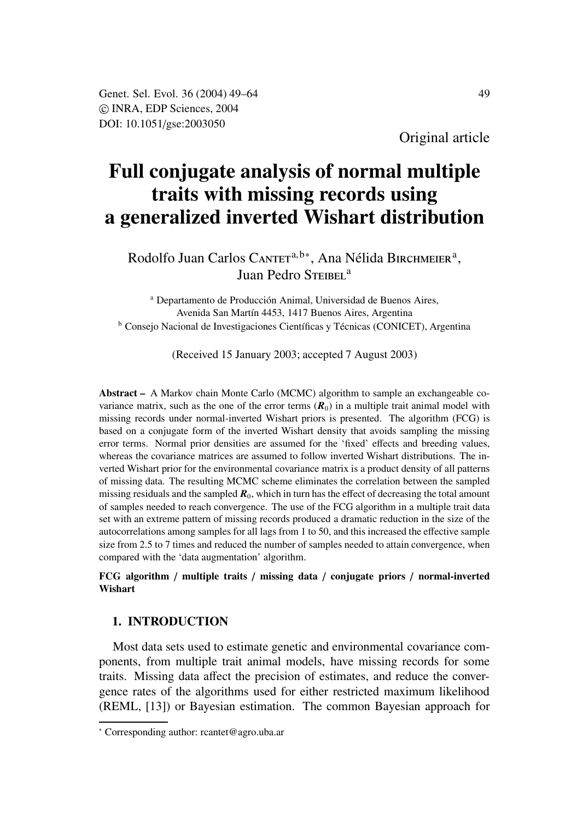Genet. Sel. Evol. 36 (2004) 49–64 49 c INRA, EDP Sciences, 2004 DOI: 10.1051/gse:2003050

Original article

# **Full conjugate analysis of normal multiple traits with missing records using a generalized inverted Wishart distribution**

Rodolfo Juan Carlos CANTET<sup>a, b∗</sup>, Ana Nélida B IRCHMEIER<sup>a</sup>, Juan Pedro Steirel<sup>a</sup>

<sup>a</sup> Departamento de Producción Animal, Universidad de Buenos Aires, Avenida San Martín 4453, 1417 Buenos Aires, Argentina <sup>b</sup> Consejo Nacional de Investigaciones Científicas y Técnicas (CONICET), Argentina

(Received 15 January 2003; accepted 7 August 2003)

**Abstract –** A Markov chain Monte Carlo (MCMC) algorithm to sample an exchangeable covariance matrix, such as the one of the error terms  $(R<sub>0</sub>)$  in a multiple trait animal model with missing records under normal-inverted Wishart priors is presented. The algorithm (FCG) is based on a conjugate form of the inverted Wishart density that avoids sampling the missing error terms. Normal prior densities are assumed for the 'fixed' effects and breeding values, whereas the covariance matrices are assumed to follow inverted Wishart distributions. The inverted Wishart prior for the environmental covariance matrix is a product density of all patterns of missing data. The resulting MCMC scheme eliminates the correlation between the sampled missing residuals and the sampled  $R_0$ , which in turn has the effect of decreasing the total amount of samples needed to reach convergence. The use of the FCG algorithm in a multiple trait data set with an extreme pattern of missing records produced a dramatic reduction in the size of the autocorrelations among samples for all lags from 1 to 50, and this increased the effective sample size from 2.5 to 7 times and reduced the number of samples needed to attain convergence, when compared with the 'data augmentation' algorithm.

**FCG algorithm** / **multiple traits** / **missing data** / **conjugate priors** / **normal-inverted Wishart**

# **1. INTRODUCTION**

Most data sets used to estimate genetic and environmental covariance components, from multiple trait animal models, have missing records for some traits. Missing data affect the precision of estimates, and reduce the convergence rates of the algorithms used for either restricted maximum likelihood (REML, [13]) or Bayesian estimation. The common Bayesian approach for

<sup>∗</sup> Corresponding author: rcantet@agro.uba.ar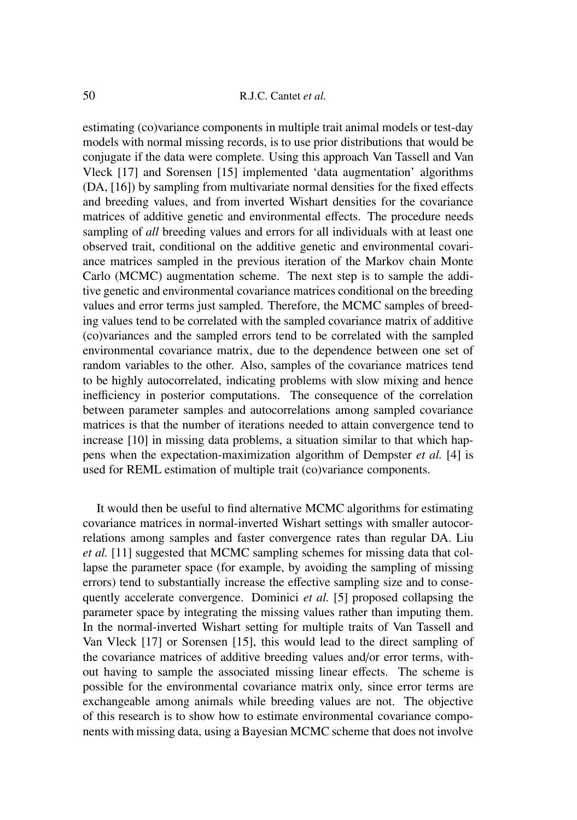estimating (co)variance components in multiple trait animal models or test-day models with normal missing records, is to use prior distributions that would be conjugate if the data were complete. Using this approach Van Tassell and Van Vleck [17] and Sorensen [15] implemented 'data augmentation' algorithms (DA, [16]) by sampling from multivariate normal densities for the fixed effects and breeding values, and from inverted Wishart densities for the covariance matrices of additive genetic and environmental effects. The procedure needs sampling of *all* breeding values and errors for all individuals with at least one observed trait, conditional on the additive genetic and environmental covariance matrices sampled in the previous iteration of the Markov chain Monte Carlo (MCMC) augmentation scheme. The next step is to sample the additive genetic and environmental covariance matrices conditional on the breeding values and error terms just sampled. Therefore, the MCMC samples of breeding values tend to be correlated with the sampled covariance matrix of additive (co)variances and the sampled errors tend to be correlated with the sampled environmental covariance matrix, due to the dependence between one set of random variables to the other. Also, samples of the covariance matrices tend to be highly autocorrelated, indicating problems with slow mixing and hence inefficiency in posterior computations. The consequence of the correlation between parameter samples and autocorrelations among sampled covariance matrices is that the number of iterations needed to attain convergence tend to increase [10] in missing data problems, a situation similar to that which happens when the expectation-maximization algorithm of Dempster *et al.* [4] is used for REML estimation of multiple trait (co)variance components.

It would then be useful to find alternative MCMC algorithms for estimating covariance matrices in normal-inverted Wishart settings with smaller autocorrelations among samples and faster convergence rates than regular DA. Liu *et al.* [11] suggested that MCMC sampling schemes for missing data that collapse the parameter space (for example, by avoiding the sampling of missing errors) tend to substantially increase the effective sampling size and to consequently accelerate convergence. Dominici *et al.* [5] proposed collapsing the parameter space by integrating the missing values rather than imputing them. In the normal-inverted Wishart setting for multiple traits of Van Tassell and Van Vleck [17] or Sorensen [15], this would lead to the direct sampling of the covariance matrices of additive breeding values and/or error terms, without having to sample the associated missing linear effects. The scheme is possible for the environmental covariance matrix only, since error terms are exchangeable among animals while breeding values are not. The objective of this research is to show how to estimate environmental covariance components with missing data, using a Bayesian MCMC scheme that does not involve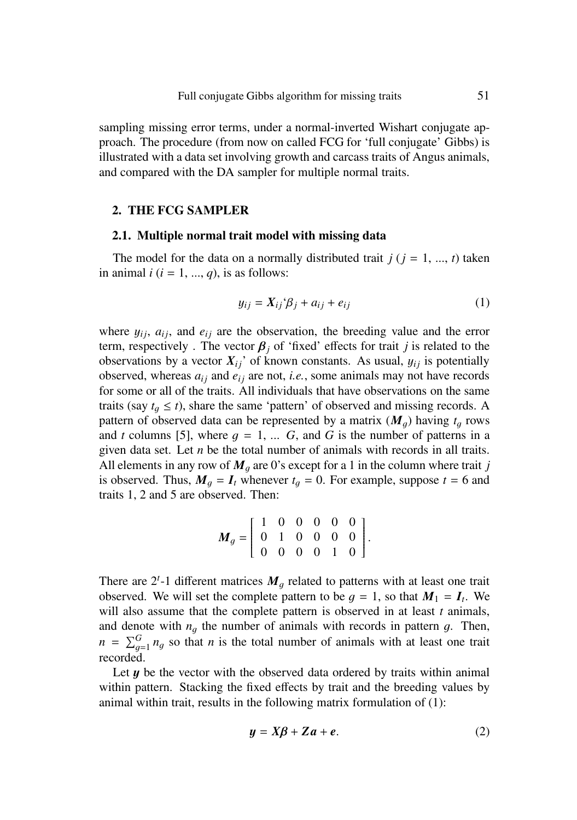sampling missing error terms, under a normal-inverted Wishart conjugate approach. The procedure (from now on called FCG for 'full conjugate' Gibbs) is illustrated with a data set involving growth and carcass traits of Angus animals, and compared with the DA sampler for multiple normal traits.

#### **2. THE FCG SAMPLER**

## **2.1. Multiple normal trait model with missing data**

The model for the data on a normally distributed trait  $j$  ( $j = 1, ..., t$ ) taken in animal  $i$  ( $i = 1, ..., q$ ), is as follows:

$$
y_{ij} = X_{ij} \mathcal{B}_j + a_{ij} + e_{ij} \tag{1}
$$

where  $y_{ij}$ ,  $a_{ij}$ , and  $e_{ij}$  are the observation, the breeding value and the error term, respectively . The vector  $\beta_j$  of 'fixed' effects for trait *j* is related to the observations by a vector  $X_{ij}$  of known constants. As usual,  $y_{ij}$  is potentially observed, whereas  $a_{ij}$  and  $e_{ij}$  are not, *i.e.*, some animals may not have records for some or all of the traits. All individuals that have observations on the same traits (say  $t_a \le t$ ), share the same 'pattern' of observed and missing records. A pattern of observed data can be represented by a matrix  $(M_q)$  having  $t_q$  rows and *t* columns [5], where  $q = 1, \ldots, G$ , and *G* is the number of patterns in a given data set. Let *n* be the total number of animals with records in all traits. All elements in any row of  $M<sub>g</sub>$  are 0's except for a 1 in the column where trait *j* is observed. Thus,  $M_q = I_t$  whenever  $t_q = 0$ . For example, suppose  $t = 6$  and traits 1, 2 and 5 are observed. Then:

$$
\boldsymbol{M}_g = \left[ \begin{array}{cccccc} 1 & 0 & 0 & 0 & 0 & 0 \\ 0 & 1 & 0 & 0 & 0 & 0 \\ 0 & 0 & 0 & 0 & 1 & 0 \end{array} \right].
$$

There are 2<sup>t</sup>-1 different matrices  $M_g$  related to patterns with at least one trait observed. We will get the complete pattern to be  $g = 1$ , so that  $M_g = I$ . We observed. We will set the complete pattern to be  $q = 1$ , so that  $M_1 = I_t$ . We will also assume that the complete pattern is observed in at least *t* animals, and denote with  $n_q$  the number of animals with records in pattern  $q$ . Then,  $n = \sum_{g=1}^{G} n_g$  so that *n* is the total number of animals with at least one trait recorded.

Let  $y$  be the vector with the observed data ordered by traits within animal within pattern. Stacking the fixed effects by trait and the breeding values by animal within trait, results in the following matrix formulation of (1):

$$
y = X\beta + Za + e. \tag{2}
$$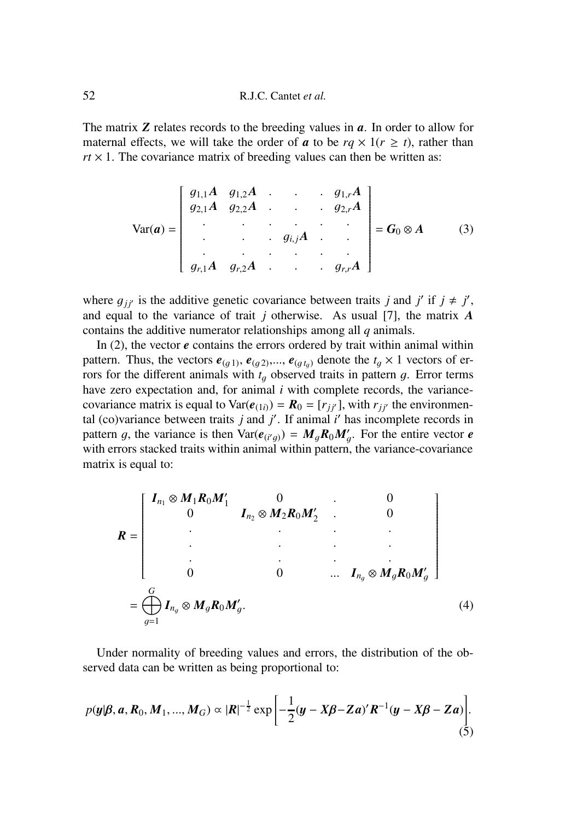52 R.J.C. Cantet *et al.*

The matrix *Z* relates records to the breeding values in *a*. In order to allow for maternal effects, we will take the order of *a* to be  $rq \times 1 (r \ge t)$ , rather than  $rt \times 1$ . The covariance matrix of breeding values can then be written as:

$$
\text{Var}(\boldsymbol{a}) = \begin{bmatrix} g_{1,1}A & g_{1,2}A & \cdots & g_{1,r}A \\ g_{2,1}A & g_{2,2}A & \cdots & g_{2,r}A \\ \vdots & \vdots & \ddots & \vdots \\ g_{r,1}A & g_{r,2}A & \cdots & g_{r,r}A \end{bmatrix} = G_0 \otimes A \quad (3)
$$

where  $g_{jj'}$  is the additive genetic covariance between traits *j* and *j'* if  $j \neq j'$ , and equal to the variance of trait *j* otherwise. As usual [7], the matrix **A** and equal to the variance of trait *j* otherwise. As usual [7], the matrix *A* contains the additive numerator relationships among all *q* animals.

In (2), the vector *e* contains the errors ordered by trait within animal within pattern. Thus, the vectors  $e_{(g 1)}, e_{(g 2)},..., e_{(g t_q)}$  denote the  $t_g \times 1$  vectors of errors for the different animals with  $t_q$  observed traits in pattern  $q$ . Error terms have zero expectation and, for animal *i* with complete records, the variancecovariance matrix is equal to  $Var(e_{(1i)}) = R_0 = [r_{ii'}]$ , with  $r_{ii'}$  the environmental (co)variance between traits  $j$  and  $j'$ . If animal  $i'$  has incomplete records in pattern g, the variance is then  $\text{Var}(e_{(i'g)}) = M_g R_0 M'_g$ . For the entire vector *e* with errors stacked traits within animal within pattern, the variance-covariance with errors stacked traits within animal within pattern, the variance-covariance matrix is equal to:

$$
\mathbf{R} = \begin{bmatrix} I_{n_1} \otimes M_1 \mathbf{R}_0 M_1' & 0 & 0 \\ 0 & I_{n_2} \otimes M_2 \mathbf{R}_0 M_2' & 0 \\ . & . & . & . \\ . & . & . & . \\ 0 & 0 & ... & I_{n_g} \otimes M_g \mathbf{R}_0 M_g' \end{bmatrix}
$$

$$
= \bigoplus_{g=1}^G I_{n_g} \otimes M_g \mathbf{R}_0 M_g'.
$$
(4)

Under normality of breeding values and errors, the distribution of the observed data can be written as being proportional to:

$$
p(y|\beta, a, R_0, M_1, ..., M_G) \propto |R|^{-\frac{1}{2}} \exp \left[ -\frac{1}{2}(y - X\beta - Za)'R^{-1}(y - X\beta - Za) \right].
$$
 (5)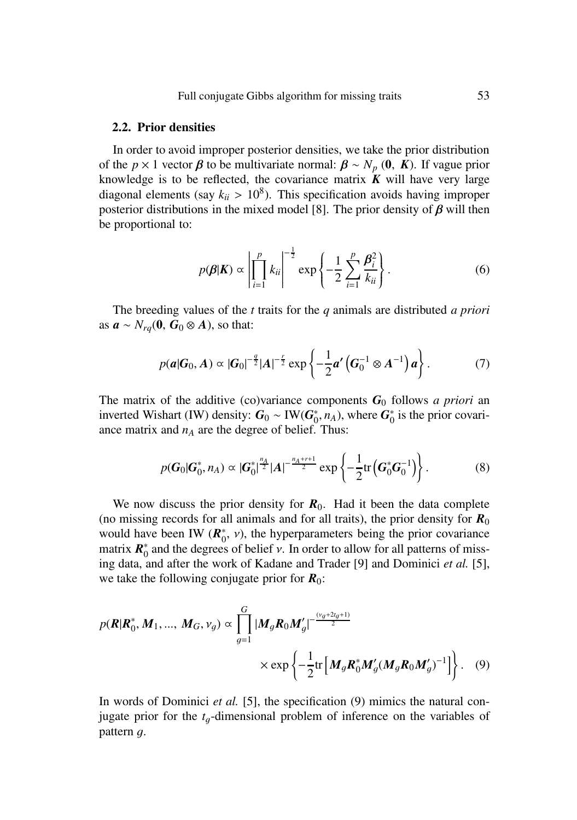## **2.2. Prior densities**

In order to avoid improper posterior densities, we take the prior distribution of the  $p \times 1$  vector  $\beta$  to be multivariate normal:  $\beta \sim N_p$  (0, *K*). If vague prior knowledge is to be reflected, the covariance matrix  $\boldsymbol{K}$  will have very large diagonal elements (say  $k_{ii} > 10^8$ ). This specification avoids having improper posterior distributions in the mixed model [8]. The prior density of  $\beta$  will then be proportional to:

$$
p(\beta|K) \propto \left| \prod_{i=1}^{p} k_{ii} \right|^{-\frac{1}{2}} \exp \left\{ -\frac{1}{2} \sum_{i=1}^{p} \frac{\beta_i^2}{k_{ii}} \right\}.
$$
 (6)

The breeding values of the *t* traits for the *q* animals are distributed *a priori* as  $a \sim N_{rq}(0, G_0 \otimes A)$ , so that:

$$
p(a|G_0, A) \propto |G_0|^{-\frac{q}{2}} |A|^{-\frac{r}{2}} \exp \left\{-\frac{1}{2}a'\left(G_0^{-1} \otimes A^{-1}\right)a\right\}.
$$
 (7)

The matrix of the additive (co)variance components  $G_0$  follows *a priori* an inverted Wishart (IW) density:  $G_0 \sim \text{IW}(G_0^*, n_A)$ , where  $G_0^*$  is the prior covari-<br>ance matrix and  $n_A$  are the degree of belief. Thus: ance matrix and  $n_A$  are the degree of belief. Thus:

$$
p(\bm{G}_0|\bm{G}_0^*,n_A) \propto |\bm{G}_0^*|^{\frac{n_A}{2}}|A|^{-\frac{n_A+r+1}{2}}\exp\left\{-\frac{1}{2}\mathrm{tr}\left(\bm{G}_0^*\bm{G}_0^{-1}\right)\right\}.
$$
 (8)

We now discuss the prior density for  $R_0$ . Had it been the data complete (no missing records for all animals and for all traits), the prior density for  $R_0$ would have been IW ( $\mathbf{R}^*_{0}$ , v), the hyperparameters being the prior covariance<br>matrix  $\mathbf{R}^*$  and the degrees of belief y. In order to allow for all patterns of missmatrix  $\mathbb{R}^*_{\mathbb{Q}}$  and the degrees of belief *ν*. In order to allow for all patterns of miss-<br>ing data, and after the work of Kadane and Trader [9] and Dominici *et al.* [5] ing data, and after the work of Kadane and Trader [9] and Dominici *et al.* [5], we take the following conjugate prior for *R*0:

$$
p(\mathbf{R}|\mathbf{R}_0^*, \mathbf{M}_1, ..., \mathbf{M}_G, \nu_g) \propto \prod_{g=1}^G |\mathbf{M}_g \mathbf{R}_0 \mathbf{M}_g'|^{-\frac{(\nu_g + 2t_g + 1)}{2}}
$$
  
 
$$
\times \exp\left\{-\frac{1}{2} \text{tr}\left[\mathbf{M}_g \mathbf{R}_0^* \mathbf{M}_g' (\mathbf{M}_g \mathbf{R}_0 \mathbf{M}_g')^{-1}\right]\right\}. \quad (9)
$$

In words of Dominici *et al.* [5], the specification (9) mimics the natural conjugate prior for the *<sup>t</sup>*g-dimensional problem of inference on the variables of pattern g.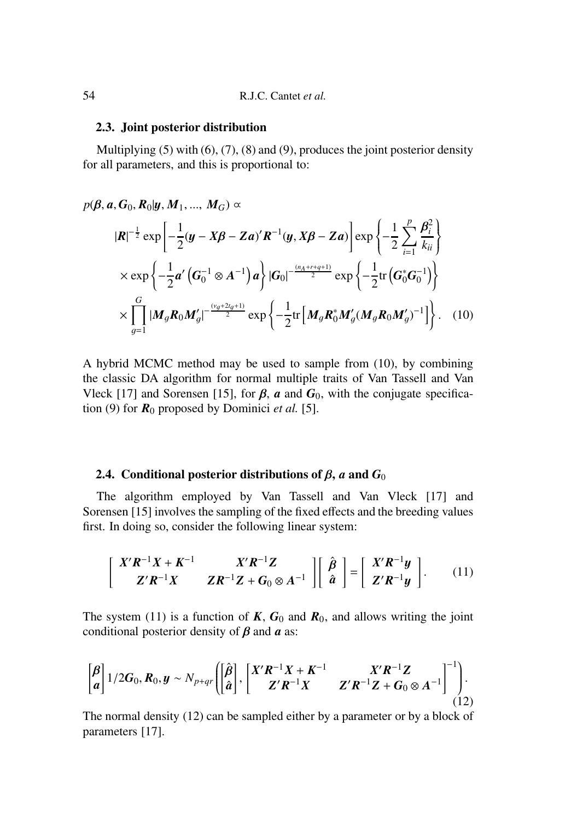# **2.3. Joint posterior distribution**

Multiplying (5) with (6), (7), (8) and (9), produces the joint posterior density for all parameters, and this is proportional to:

$$
p(\beta, a, G_0, R_0 | y, M_1, ..., M_G) \propto
$$
\n
$$
|R|^{-\frac{1}{2}} \exp\left[-\frac{1}{2}(y - X\beta - Za)'R^{-1}(y, X\beta - Za)\right] \exp\left\{-\frac{1}{2}\sum_{i=1}^p \frac{\beta_i^2}{k_{ii}}\right\}
$$
\n
$$
\times \exp\left\{-\frac{1}{2}a'\left(G_0^{-1} \otimes A^{-1}\right)a\right\}|G_0|^{-\frac{(n_A + r + q + 1)}{2}} \exp\left\{-\frac{1}{2}\text{tr}\left(G_0^*G_0^{-1}\right)\right\}
$$
\n
$$
\times \prod_{g=1}^G |M_g R_0 M'_g|^{-\frac{(y_g + 2t_g + 1)}{2}} \exp\left\{-\frac{1}{2}\text{tr}\left[M_g R_0^* M'_g (M_g R_0 M'_g)^{-1}\right]\right\}.
$$
\n(10)

A hybrid MCMC method may be used to sample from (10), by combining the classic DA algorithm for normal multiple traits of Van Tassell and Van Vleck [17] and Sorensen [15], for  $\beta$ ,  $\alpha$  and  $G_0$ , with the conjugate specification (9) for  $\mathbf{R}_0$  proposed by Dominici *et al.* [5].

# **2.4.** Conditional posterior distributions of  $\beta$ , *a* and  $G_0$

The algorithm employed by Van Tassell and Van Vleck [17] and Sorensen [15] involves the sampling of the fixed effects and the breeding values first. In doing so, consider the following linear system:

$$
\begin{bmatrix}\nX'R^{-1}X + K^{-1} & X'R^{-1}Z \\
Z'R^{-1}X & ZR^{-1}Z + G_0 \otimes A^{-1}\n\end{bmatrix}\n\begin{bmatrix}\n\hat{\beta} \\
\hat{a}\n\end{bmatrix} =\n\begin{bmatrix}\nX'R^{-1}y \\
Z'R^{-1}y\n\end{bmatrix}.
$$
\n(11)

The system (11) is a function of  $K$ ,  $G_0$  and  $R_0$ , and allows writing the joint conditional posterior density of  $\beta$  and  $\alpha$  as:

$$
\begin{bmatrix} \boldsymbol{\beta} \\ \boldsymbol{a} \end{bmatrix} 1/2\boldsymbol{G}_0, \boldsymbol{R}_0, \boldsymbol{y} \sim N_{p+qr} \left( \begin{bmatrix} \boldsymbol{\hat{\beta}} \\ \boldsymbol{\hat{a}} \end{bmatrix}, \begin{bmatrix} \boldsymbol{X}'\boldsymbol{R}^{-1}\boldsymbol{X} + \boldsymbol{K}^{-1} & \boldsymbol{X}'\boldsymbol{R}^{-1}\boldsymbol{Z} \\ \boldsymbol{Z}'\boldsymbol{R}^{-1}\boldsymbol{X} & \boldsymbol{Z}'\boldsymbol{R}^{-1}\boldsymbol{Z} + \boldsymbol{G}_0 \otimes \boldsymbol{A}^{-1} \end{bmatrix}^{-1} \right). \tag{12}
$$

The normal density (12) can be sampled either by a parameter or by a block of parameters [17].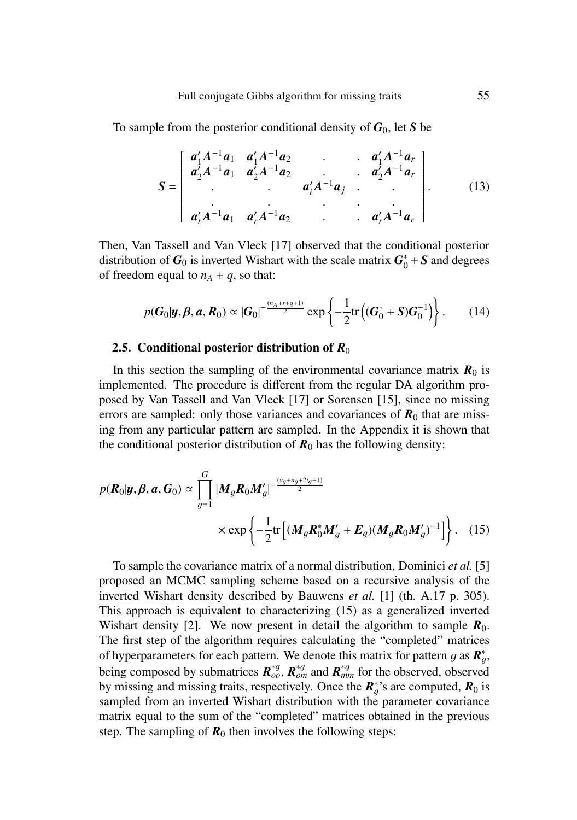To sample from the posterior conditional density of  $G_0$ , let S be

$$
S = \begin{bmatrix} a'_1 A^{-1} a_1 & a'_1 A^{-1} a_2 & a'_1 A^{-1} a_r \\ a'_2 A^{-1} a_1 & a'_2 A^{-1} a_2 & a'_1 A^{-1} a_r \\ \vdots & \vdots & \vdots & \vdots \\ a'_r A^{-1} a_1 & a'_r A^{-1} a_2 & a'_r A^{-1} a_r \end{bmatrix} .
$$
 (13)

Then, Van Tassell and Van Vleck [17] observed that the conditional posterior distribution of  $G_0$  is inverted Wishart with the scale matrix  $G_0^*$  + *S* and degrees of freedom equal to  $n_A + q$ , so that:

$$
p(G_0|\mathbf{y}, \beta, \mathbf{a}, \mathbf{R}_0) \propto |G_0|^{-\frac{(n_A + r + q + 1)}{2}} \exp\left\{-\frac{1}{2}\text{tr}\left((\mathbf{G}_0^* + S)\mathbf{G}_0^{-1}\right)\right\}.
$$
 (14)

#### **2.5. Conditional posterior distribution of** *R*<sup>0</sup>

In this section the sampling of the environmental covariance matrix  $R_0$  is implemented. The procedure is different from the regular DA algorithm proposed by Van Tassell and Van Vleck [17] or Sorensen [15], since no missing errors are sampled: only those variances and covariances of  $R_0$  that are missing from any particular pattern are sampled. In the Appendix it is shown that the conditional posterior distribution of  $R_0$  has the following density:

$$
p(\mathbf{R}_0|\mathbf{y}, \boldsymbol{\beta}, \mathbf{a}, \mathbf{G}_0) \propto \prod_{g=1}^G |\mathbf{M}_g \mathbf{R}_0 \mathbf{M}_g'|^{-\frac{(v_g + n_g + 2t_g + 1)}{2}}
$$
  
 
$$
\times \exp\left\{-\frac{1}{2} \text{tr}\left[ (\mathbf{M}_g \mathbf{R}_0^* \mathbf{M}_g' + \mathbf{E}_g)(\mathbf{M}_g \mathbf{R}_0 \mathbf{M}_g')^{-1}\right]\right\}. \quad (15)
$$

To sample the covariance matrix of a normal distribution, Dominici *et al.* [5] proposed an MCMC sampling scheme based on a recursive analysis of the inverted Wishart density described by Bauwens *et al.* [1] (th. A.17 p. 305). This approach is equivalent to characterizing (15) as a generalized inverted Wishart density [2]. We now present in detail the algorithm to sample  $R_0$ . The first step of the algorithm requires calculating the "completed" matrices of hyperparameters for each pattern. We denote this matrix for pattern g as  $\mathbb{R}^*$ , being composed by submatrices  $\mathbb{R}^{*g}$ ,  $\mathbb{R}^{*g}$  and  $\mathbb{R}^{*g}$  for the observed observed being composed by submatrices  $\mathbf{R}_{oo}^{*g}$ ,  $\mathbf{R}_{om}^{*g}$  and  $\mathbf{R}_{mm}^{*g}$  for the observed, observed by missing and missing traits, respectively. Once the  $R_g^*$ 's are computed,  $R_0$  is sampled from an inverted Wishart distribution with the parameter covariance sampled from an inverted Wishart distribution with the parameter covariance matrix equal to the sum of the "completed" matrices obtained in the previous step. The sampling of  $R_0$  then involves the following steps: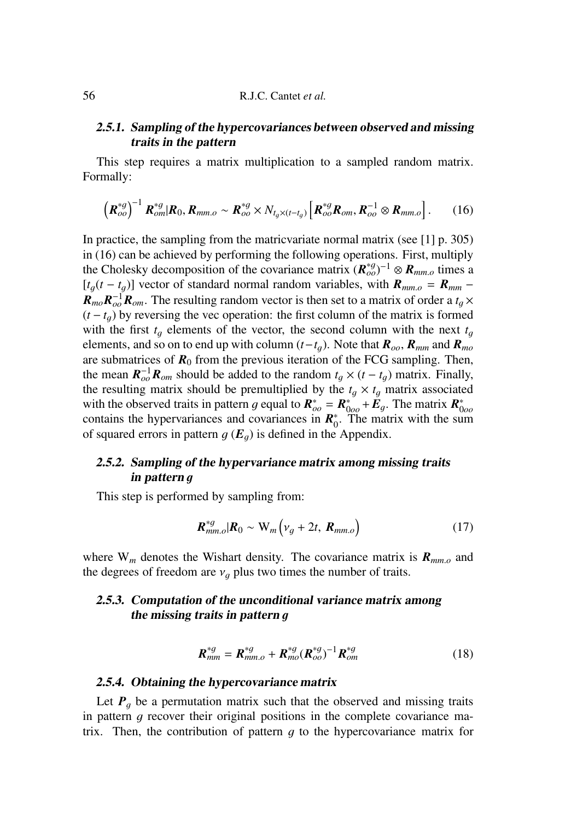# **2.5.1. Sampling of the hypercovariances between observed and missing traits in the pattern**

This step requires a matrix multiplication to a sampled random matrix. Formally:

$$
\left(\bm{R}_{oo}^{*g}\right)^{-1}\bm{R}_{om}^{*g}|\bm{R}_{0},\bm{R}_{mm,o}\sim\bm{R}_{oo}^{*g}\times N_{t_{g}\times(t-t_{g})}\left[\bm{R}_{oo}^{*g}\bm{R}_{om},\bm{R}_{oo}^{-1}\otimes\bm{R}_{mm,o}\right].
$$
 (16)

In practice, the sampling from the matricvariate normal matrix (see [1]  $p. 305$ ) in (16) can be achieved by performing the following operations. First, multiply the Cholesky decomposition of the covariance matrix  $(R_{oo}^{*g})^{-1} \otimes R_{mm,o}$  times a<br>  $F_{\epsilon}(t, t, \cdot)$  vector of standard normal random variables, with  $R = R$  $[t_q(t - t_q)]$  vector of standard normal random variables, with  $R_{mm,o} = R_{mm}$  −  $R_{mo}R_{oo}^{-1}R_{om}$ . The resulting random vector is then set to a matrix of order a *t<sub>g</sub>* ×  $(t - t<sub>a</sub>)$  by reversing the vec operation: the first column of the matrix is formed with the first  $t_q$  elements of the vector, the second column with the next  $t_q$ elements, and so on to end up with column  $(t-t_a)$ . Note that  $\mathbf{R}_{oo}$ ,  $\mathbf{R}_{mm}$  and  $\mathbf{R}_{mo}$ are submatrices of  $R_0$  from the previous iteration of the FCG sampling. Then, the mean  $\mathbf{R}_{co}^{-1} \mathbf{R}_{om}$  should be added to the random  $t_g \times (t - t_g)$  matrix. Finally, the resulting matrix should be promultiplied by the t  $\times$  t matrix associated the resulting matrix should be premultiplied by the  $t_q \times t_q$  matrix associated with the observed traits in pattern g equal to  $\mathbf{R}^*_{oo} = \mathbf{R}^*_{0oo} + \mathbf{E}_g$ . The matrix  $\mathbf{R}^*_{0oo}$ <br>contains the hypervariances and covariances in  $\mathbf{R}^*$ . The matrix with the sum contains the hypervariances and covariances in  $\mathbb{R}^*_0$ . The matrix with the sum of squared errors in pattern  $g(E_q)$  is defined in the Appendix.

# **2.5.2. Sampling of the hypervariance matrix among missing traits in pattern** g

This step is performed by sampling from:

$$
\boldsymbol{R}_{mm.o}^{*g}|\boldsymbol{R}_{0} \sim \mathbf{W}_{m}\left(v_{g} + 2t, \boldsymbol{R}_{mm.o}\right) \tag{17}
$$

where  $W_m$  denotes the Wishart density. The covariance matrix is  $R_{mm,o}$  and the degrees of freedom are  $v_q$  plus two times the number of traits.

# **2.5.3. Computation of the unconditional variance matrix among the missing traits in pattern** g

$$
\boldsymbol{R}_{mm}^{*g} = \boldsymbol{R}_{mm,o}^{*g} + \boldsymbol{R}_{mo}^{*g} (\boldsymbol{R}_{oo}^{*g})^{-1} \boldsymbol{R}_{om}^{*g}
$$
 (18)

# **2.5.4. Obtaining the hypercovariance matrix**

Let  $P_q$  be a permutation matrix such that the observed and missing traits in pattern  $g$  recover their original positions in the complete covariance matrix. Then, the contribution of pattern  $q$  to the hypercovariance matrix for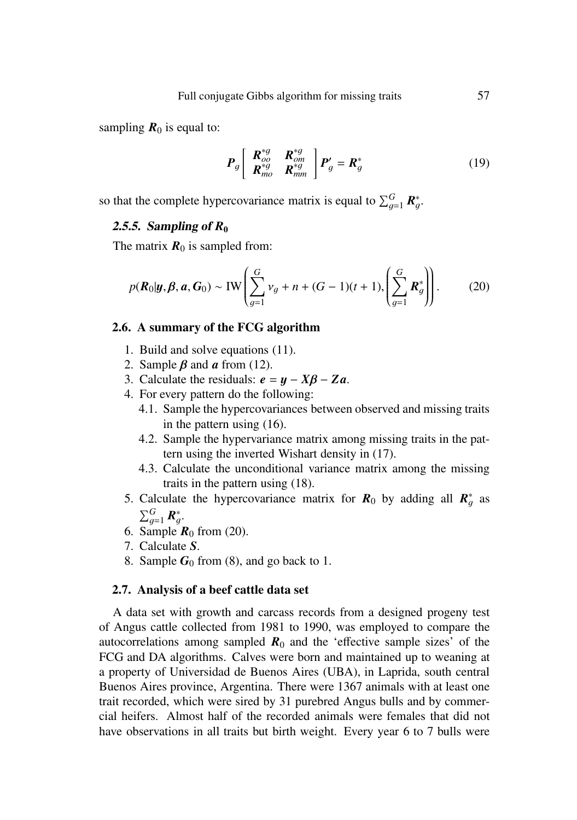sampling  $R_0$  is equal to:

$$
\boldsymbol{P}_{g} \left[ \begin{array}{cc} \boldsymbol{R}_{oo}^{*g} & \boldsymbol{R}_{om}^{*g} \\ \boldsymbol{R}_{mo}^{*g} & \boldsymbol{R}_{mm}^{*g} \end{array} \right] \boldsymbol{P}_{g}' = \boldsymbol{R}_{g}^{*} \tag{19}
$$

so that the complete hypercovariance matrix is equal to  $\sum_{g=1}^{G} \mathbf{R}_g^*$ .

# **2.5.5. Sampling** of  $R_0$

The matrix  $\mathbf{R}_0$  is sampled from:

$$
p(\mathbf{R}_0|\mathbf{y}, \boldsymbol{\beta}, \mathbf{a}, \mathbf{G}_0) \sim \text{IW}\left(\sum_{g=1}^G v_g + n + (G-1)(t+1), \left(\sum_{g=1}^G \mathbf{R}_g^*\right)\right).
$$
 (20)

#### **2.6. A summary of the FCG algorithm**

- 1. Build and solve equations (11).
- 2. Sample  $\beta$  and  $\alpha$  from (12).
- 3. Calculate the residuals:  $e = y X\beta Za$ .
- 4. For every pattern do the following:
	- 4.1. Sample the hypercovariances between observed and missing traits in the pattern using (16).
	- 4.2. Sample the hypervariance matrix among missing traits in the pattern using the inverted Wishart density in (17).
	- 4.3. Calculate the unconditional variance matrix among the missing traits in the pattern using (18).
- 5. Calculate the hypercovariance matrix for  $\mathbf{R}_0$  by adding all  $\mathbf{R}_g^*$  as  $\sum_{g=1}^{G} R_g^*$ .<br>Sample *I*
- 6. Sample  $\mathbf{R}_0$  from (20).
- 7. Calculate *S*.
- 8. Sample  $G_0$  from (8), and go back to 1.

# **2.7. Analysis of a beef cattle data set**

A data set with growth and carcass records from a designed progeny test of Angus cattle collected from 1981 to 1990, was employed to compare the autocorrelations among sampled  $R_0$  and the 'effective sample sizes' of the FCG and DA algorithms. Calves were born and maintained up to weaning at a property of Universidad de Buenos Aires (UBA), in Laprida, south central Buenos Aires province, Argentina. There were 1367 animals with at least one trait recorded, which were sired by 31 purebred Angus bulls and by commercial heifers. Almost half of the recorded animals were females that did not have observations in all traits but birth weight. Every year 6 to 7 bulls were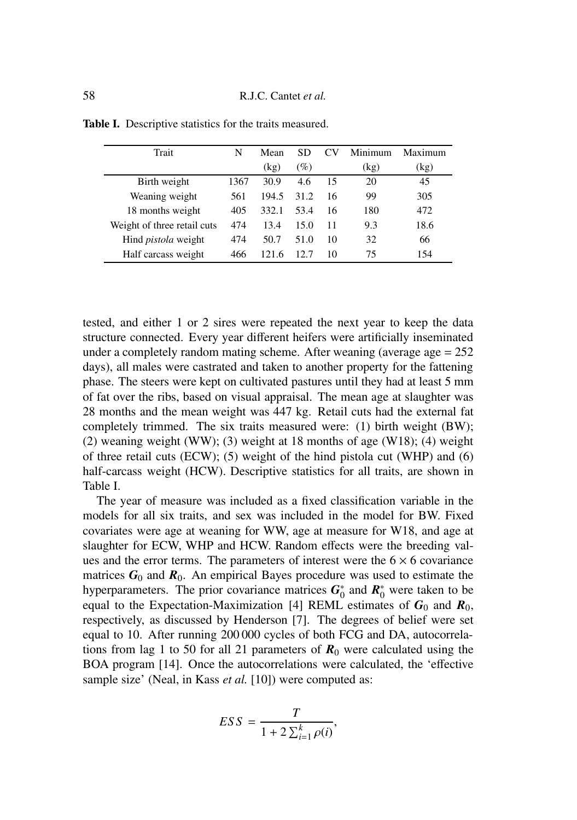| Trait                       | N    | Mean  | SD     | CV. | Minimum | Maximum |
|-----------------------------|------|-------|--------|-----|---------|---------|
|                             |      | (kg)  | $(\%)$ |     | (kg)    | (kg)    |
| Birth weight                | 1367 | 30.9  | 4.6    | 15  | 20      | 45      |
| Weaning weight              | 561  | 194.5 | 31.2   | 16  | 99      | 305     |
| 18 months weight            | 405  | 332.1 | 53.4   | 16  | 180     | 472     |
| Weight of three retail cuts | 474  | 13.4  | 15.0   | 11  | 9.3     | 18.6    |
| Hind <i>pistola</i> weight  | 474  | 50.7  | 51.0   | 10  | 32      | 66      |
| Half carcass weight         | 466  | 121.6 | 12.7   | 10  | 75      | 154     |

**Table I.** Descriptive statistics for the traits measured.

tested, and either 1 or 2 sires were repeated the next year to keep the data structure connected. Every year different heifers were artificially inseminated under a completely random mating scheme. After weaning (average age  $= 252$ ) days), all males were castrated and taken to another property for the fattening phase. The steers were kept on cultivated pastures until they had at least 5 mm of fat over the ribs, based on visual appraisal. The mean age at slaughter was 28 months and the mean weight was 447 kg. Retail cuts had the external fat completely trimmed. The six traits measured were: (1) birth weight (BW); (2) weaning weight (WW); (3) weight at 18 months of age (W18); (4) weight of three retail cuts (ECW); (5) weight of the hind pistola cut (WHP) and (6) half-carcass weight (HCW). Descriptive statistics for all traits, are shown in Table I.

The year of measure was included as a fixed classification variable in the models for all six traits, and sex was included in the model for BW. Fixed covariates were age at weaning for WW, age at measure for W18, and age at slaughter for ECW, WHP and HCW. Random effects were the breeding values and the error terms. The parameters of interest were the  $6 \times 6$  covariance matrices  $G_0$  and  $R_0$ . An empirical Bayes procedure was used to estimate the hyperparameters. The prior covariance matrices  $G_0^*$  and  $R_0^*$  were taken to be equal to the Expectation-Maximization [4] REML estimates of  $G_0$  and  $R_0$ , respectively, as discussed by Henderson [7]. The degrees of belief were set equal to 10. After running 200 000 cycles of both FCG and DA, autocorrelations from lag 1 to 50 for all 21 parameters of  $R_0$  were calculated using the BOA program [14]. Once the autocorrelations were calculated, the 'effective sample size' (Neal, in Kass *et al.* [10]) were computed as:

$$
ESS = \frac{T}{1 + 2\sum_{i=1}^{k} \rho(i)},
$$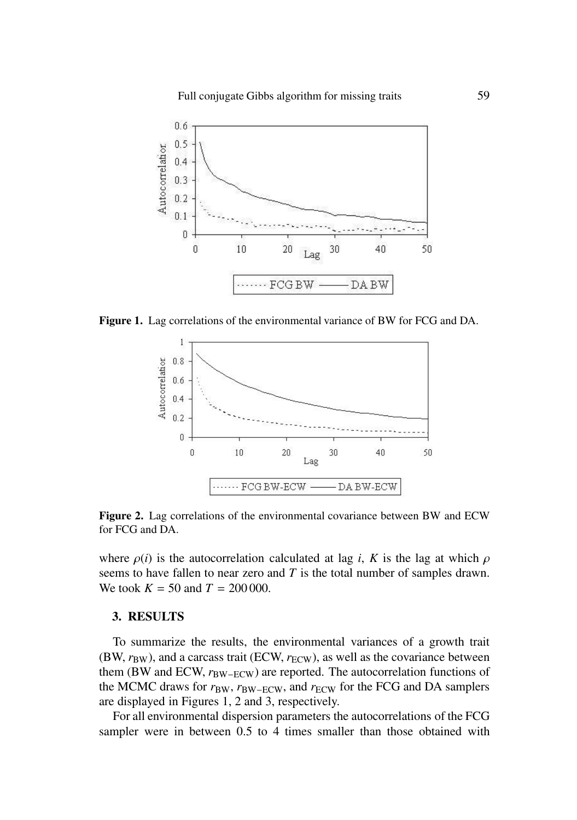

**Figure 1.** Lag correlations of the environmental variance of BW for FCG and DA.



**Figure 2.** Lag correlations of the environmental covariance between BW and ECW for FCG and DA.

where  $\rho(i)$  is the autocorrelation calculated at lag *i*, *K* is the lag at which  $\rho$ seems to have fallen to near zero and *T* is the total number of samples drawn. We took  $K = 50$  and  $T = 200000$ .

## **3. RESULTS**

To summarize the results, the environmental variances of a growth trait (BW,  $r_{BW}$ ), and a carcass trait (ECW,  $r_{ECW}$ ), as well as the covariance between them (BW and ECW,  $r_{BW-ECW}$ ) are reported. The autocorrelation functions of the MCMC draws for  $r_{BW}$ ,  $r_{BW-ECW}$ , and  $r_{ECW}$  for the FCG and DA samplers are displayed in Figures 1, 2 and 3, respectively.

For all environmental dispersion parameters the autocorrelations of the FCG sampler were in between 0.5 to 4 times smaller than those obtained with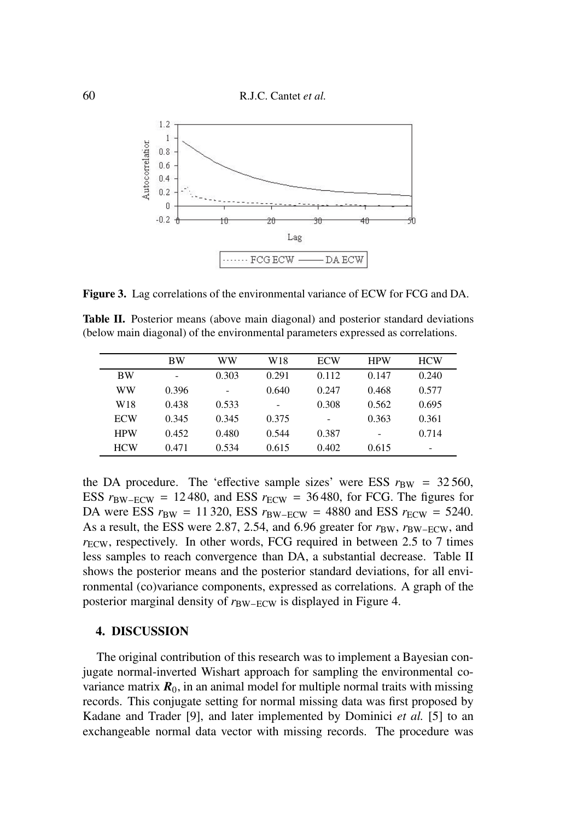60 R.J.C. Cantet *et al.*



**Figure 3.** Lag correlations of the environmental variance of ECW for FCG and DA.

**Table II.** Posterior means (above main diagonal) and posterior standard deviations (below main diagonal) of the environmental parameters expressed as correlations.

|                 | BW                       | ww    | W <sub>18</sub>          | <b>ECW</b> | <b>HPW</b> | <b>HCW</b> |
|-----------------|--------------------------|-------|--------------------------|------------|------------|------------|
| <b>BW</b>       | $\overline{\phantom{a}}$ | 0.303 | 0.291                    | 0.112      | 0.147      | 0.240      |
| WW              | 0.396                    | -     | 0.640                    | 0.247      | 0.468      | 0.577      |
| W <sub>18</sub> | 0.438                    | 0.533 | $\overline{\phantom{0}}$ | 0.308      | 0.562      | 0.695      |
| ECW             | 0.345                    | 0.345 | 0.375                    |            | 0.363      | 0.361      |
| <b>HPW</b>      | 0.452                    | 0.480 | 0.544                    | 0.387      |            | 0.714      |
| <b>HCW</b>      | 0.471                    | 0.534 | 0.615                    | 0.402      | 0.615      |            |

the DA procedure. The 'effective sample sizes' were ESS  $r_{BW} = 32560$ , ESS  $r_{\text{BW-ECW}}$  = 12.480, and ESS  $r_{\text{ECW}}$  = 36.480, for FCG. The figures for DA were ESS  $r_{BW} = 11320$ , ESS  $r_{BW-ECW} = 4880$  and ESS  $r_{ECW} = 5240$ . As a result, the ESS were 2.87, 2.54, and 6.96 greater for  $r_{BW}$ ,  $r_{BW-ECW}$ , and  $r_{\text{ECW}}$ , respectively. In other words, FCG required in between 2.5 to 7 times less samples to reach convergence than DA, a substantial decrease. Table II shows the posterior means and the posterior standard deviations, for all environmental (co)variance components, expressed as correlations. A graph of the posterior marginal density of  $r_{BW-ECW}$  is displayed in Figure 4.

# **4. DISCUSSION**

The original contribution of this research was to implement a Bayesian conjugate normal-inverted Wishart approach for sampling the environmental covariance matrix  $\mathbf{R}_0$ , in an animal model for multiple normal traits with missing records. This conjugate setting for normal missing data was first proposed by Kadane and Trader [9], and later implemented by Dominici *et al.* [5] to an exchangeable normal data vector with missing records. The procedure was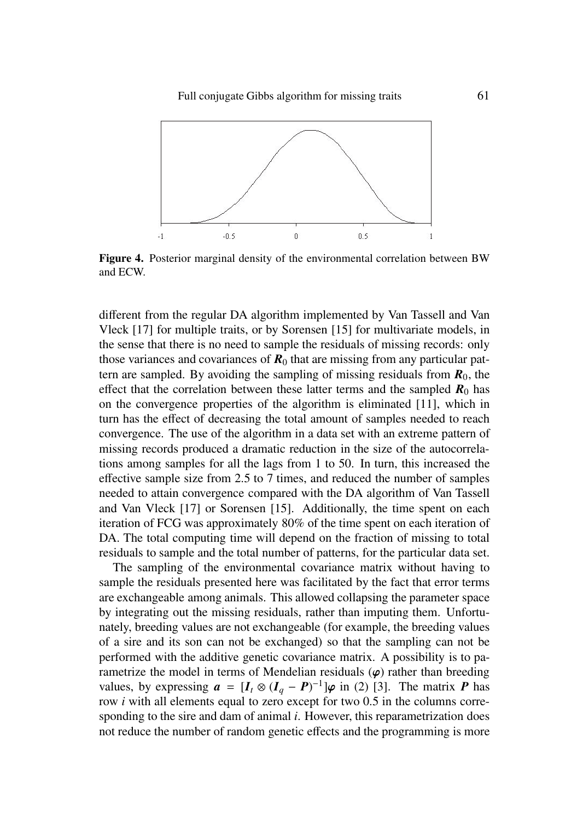

**Figure 4.** Posterior marginal density of the environmental correlation between BW and ECW.

different from the regular DA algorithm implemented by Van Tassell and Van Vleck [17] for multiple traits, or by Sorensen [15] for multivariate models, in the sense that there is no need to sample the residuals of missing records: only those variances and covariances of  $R_0$  that are missing from any particular pattern are sampled. By avoiding the sampling of missing residuals from  $R_0$ , the effect that the correlation between these latter terms and the sampled  $R_0$  has on the convergence properties of the algorithm is eliminated [11], which in turn has the effect of decreasing the total amount of samples needed to reach convergence. The use of the algorithm in a data set with an extreme pattern of missing records produced a dramatic reduction in the size of the autocorrelations among samples for all the lags from 1 to 50. In turn, this increased the effective sample size from 2.5 to 7 times, and reduced the number of samples needed to attain convergence compared with the DA algorithm of Van Tassell and Van Vleck [17] or Sorensen [15]. Additionally, the time spent on each iteration of FCG was approximately 80% of the time spent on each iteration of DA. The total computing time will depend on the fraction of missing to total residuals to sample and the total number of patterns, for the particular data set.

The sampling of the environmental covariance matrix without having to sample the residuals presented here was facilitated by the fact that error terms are exchangeable among animals. This allowed collapsing the parameter space by integrating out the missing residuals, rather than imputing them. Unfortunately, breeding values are not exchangeable (for example, the breeding values of a sire and its son can not be exchanged) so that the sampling can not be performed with the additive genetic covariance matrix. A possibility is to parametrize the model in terms of Mendelian residuals  $(\varphi)$  rather than breeding values, by expressing  $\mathbf{a} = [I_t \otimes (I_q - P)^{-1}]\varphi$  in (2) [3]. The matrix *P* has row *i* with all elements equal to zero except for two 0.5 in the columns correrow *i* with all elements equal to zero except for two 0.5 in the columns corresponding to the sire and dam of animal *i*. However, this reparametrization does not reduce the number of random genetic effects and the programming is more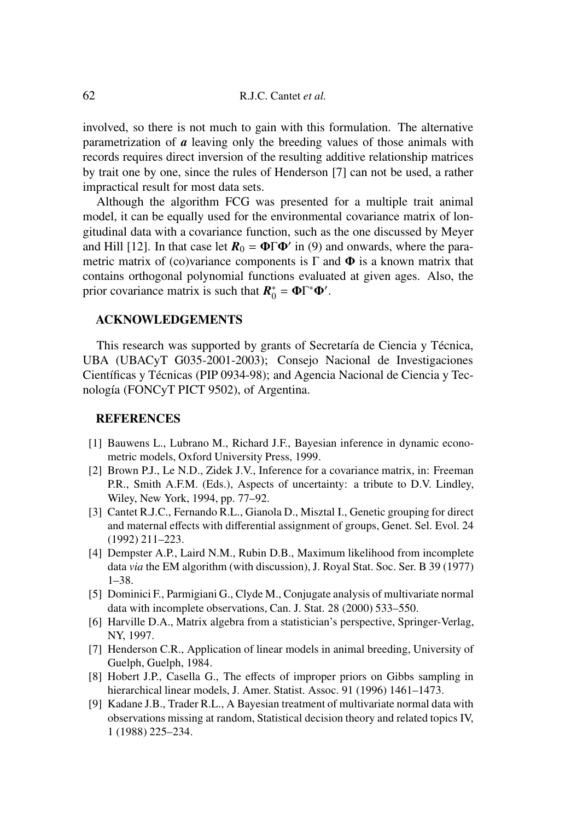involved, so there is not much to gain with this formulation. The alternative parametrization of *a* leaving only the breeding values of those animals with records requires direct inversion of the resulting additive relationship matrices by trait one by one, since the rules of Henderson [7] can not be used, a rather impractical result for most data sets.

Although the algorithm FCG was presented for a multiple trait animal model, it can be equally used for the environmental covariance matrix of longitudinal data with a covariance function, such as the one discussed by Meyer and Hill [12]. In that case let  $\mathbf{R}_0 = \mathbf{\Phi} \nabla \mathbf{\Phi}'$  in (9) and onwards, where the parametric matrix of (co)variance components is  $\Gamma$  and  $\Phi$  is a known matrix that contains orthogonal polynomial functions evaluated at given ages. Also, the prior covariance matrix is such that  $\mathbf{R}_0^* = \mathbf{\Phi} \Gamma^* \mathbf{\Phi}'$ .

# **ACKNOWLEDGEMENTS**

This research was supported by grants of Secretaría de Ciencia y Técnica, UBA (UBACyT G035-2001-2003); Consejo Nacional de Investigaciones Científicas y Técnicas (PIP 0934-98); and Agencia Nacional de Ciencia y Tecnología (FONCyT PICT 9502), of Argentina.

# **REFERENCES**

- [1] Bauwens L., Lubrano M., Richard J.F., Bayesian inference in dynamic econometric models, Oxford University Press, 1999.
- [2] Brown P.J., Le N.D., Zidek J.V., Inference for a covariance matrix, in: Freeman P.R., Smith A.F.M. (Eds.), Aspects of uncertainty: a tribute to D.V. Lindley, Wiley, New York, 1994, pp. 77–92.
- [3] Cantet R.J.C., Fernando R.L., Gianola D., Misztal I., Genetic grouping for direct and maternal effects with differential assignment of groups, Genet. Sel. Evol. 24 (1992) 211–223.
- [4] Dempster A.P., Laird N.M., Rubin D.B., Maximum likelihood from incomplete data *via* the EM algorithm (with discussion), J. Royal Stat. Soc. Ser. B 39 (1977) 1–38.
- [5] Dominici F., Parmigiani G., Clyde M., Conjugate analysis of multivariate normal data with incomplete observations, Can. J. Stat. 28 (2000) 533–550.
- [6] Harville D.A., Matrix algebra from a statistician's perspective, Springer-Verlag, NY, 1997.
- [7] Henderson C.R., Application of linear models in animal breeding, University of Guelph, Guelph, 1984.
- [8] Hobert J.P., Casella G., The effects of improper priors on Gibbs sampling in hierarchical linear models, J. Amer. Statist. Assoc. 91 (1996) 1461–1473.
- [9] Kadane J.B., Trader R.L., A Bayesian treatment of multivariate normal data with observations missing at random, Statistical decision theory and related topics IV, 1 (1988) 225–234.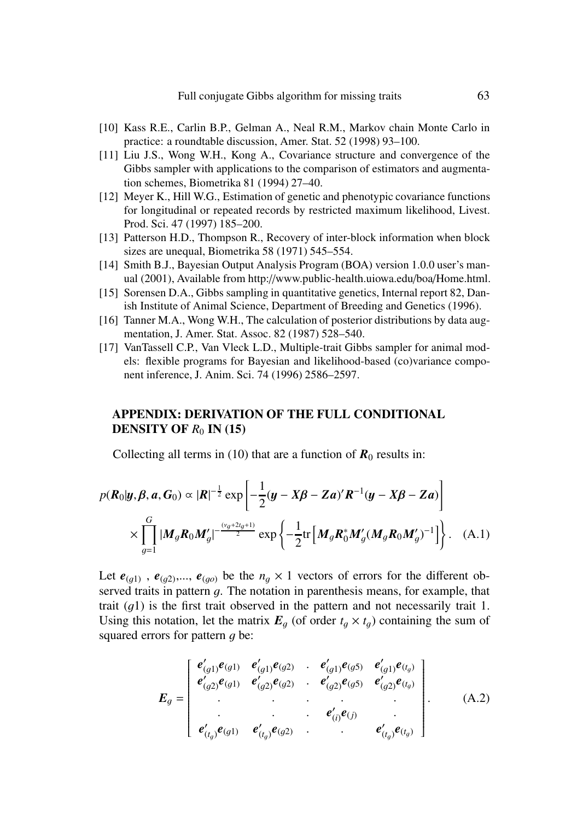- [10] Kass R.E., Carlin B.P., Gelman A., Neal R.M., Markov chain Monte Carlo in practice: a roundtable discussion, Amer. Stat. 52 (1998) 93–100.
- [11] Liu J.S., Wong W.H., Kong A., Covariance structure and convergence of the Gibbs sampler with applications to the comparison of estimators and augmentation schemes, Biometrika 81 (1994) 27–40.
- [12] Meyer K., Hill W.G., Estimation of genetic and phenotypic covariance functions for longitudinal or repeated records by restricted maximum likelihood, Livest. Prod. Sci. 47 (1997) 185–200.
- [13] Patterson H.D., Thompson R., Recovery of inter-block information when block sizes are unequal, Biometrika 58 (1971) 545–554.
- [14] Smith B.J., Bayesian Output Analysis Program (BOA) version 1.0.0 user's manual (2001), Available from http://www.public-health.uiowa.edu/boa/Home.html.
- [15] Sorensen D.A., Gibbs sampling in quantitative genetics, Internal report 82, Danish Institute of Animal Science, Department of Breeding and Genetics (1996).
- [16] Tanner M.A., Wong W.H., The calculation of posterior distributions by data augmentation, J. Amer. Stat. Assoc. 82 (1987) 528–540.
- [17] VanTassell C.P., Van Vleck L.D., Multiple-trait Gibbs sampler for animal models: flexible programs for Bayesian and likelihood-based (co)variance component inference, J. Anim. Sci. 74 (1996) 2586–2597.

# **APPENDIX: DERIVATION OF THE FULL CONDITIONAL DENSITY OF** *R*<sup>0</sup> **IN (15)**

Collecting all terms in (10) that are a function of  $R_0$  results in:

$$
p(\mathbf{R}_0|\mathbf{y}, \boldsymbol{\beta}, \mathbf{a}, \mathbf{G}_0) \propto |\mathbf{R}|^{-\frac{1}{2}} \exp\left[-\frac{1}{2}(\mathbf{y} - \mathbf{X}\boldsymbol{\beta} - \mathbf{Z}\mathbf{a})'\mathbf{R}^{-1}(\mathbf{y} - \mathbf{X}\boldsymbol{\beta} - \mathbf{Z}\mathbf{a})\right]
$$

$$
\times \prod_{g=1}^G |\mathbf{M}_g \mathbf{R}_0 \mathbf{M}_g'|^{-\frac{(v_g + 2t_g + 1)}{2}} \exp\left\{-\frac{1}{2} \text{tr}\left[\mathbf{M}_g \mathbf{R}_0^* \mathbf{M}_g' (\mathbf{M}_g \mathbf{R}_0 \mathbf{M}_g')^{-1}\right]\right\}. \quad \text{(A.1)}
$$

Let  $e_{(g1)}$ ,  $e_{(g2)},..., e_{(g0)}$  be the  $n_g \times 1$  vectors of errors for the different observed traits in pattern  $g$ . The notation in parenthesis means, for example, that trait  $(g1)$  is the first trait observed in the pattern and not necessarily trait 1. Using this notation, let the matrix  $E_q$  (of order  $t_q \times t_q$ ) containing the sum of squared errors for pattern  $q$  be:

$$
E_g = \begin{bmatrix} e'_{(g1)}e_{(g1)} & e'_{(g1)}e_{(g2)} & e'_{(g1)}e_{(g5)} & e'_{(g1)}e_{(t_g)} \\ e'_{(g2)}e_{(g1)} & e'_{(g2)}e_{(g2)} & e'_{(g2)}e_{(g5)} & e'_{(g2)}e_{(t_g)} \\ \cdot & \cdot & \cdot & \cdot \\ \cdot & \cdot & \cdot & \cdot \\ e'_{(t_g)}e_{(g1)} & e'_{(t_g)}e_{(g2)} & \cdot & e'_{(t_g)}e_{(t_g)} \end{bmatrix} .
$$
 (A.2)